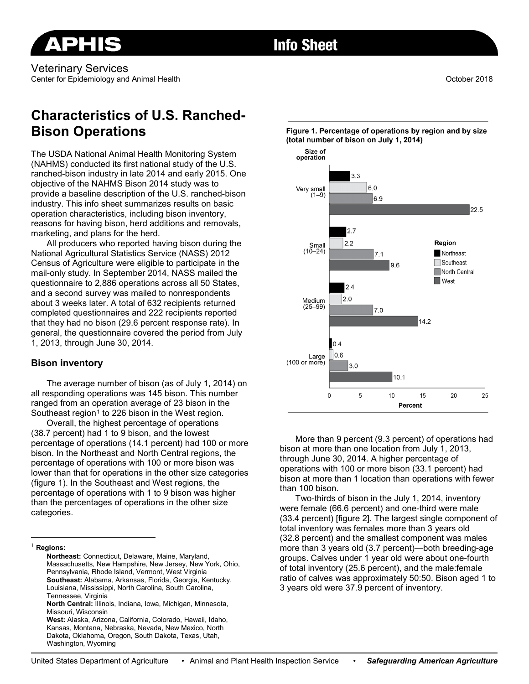# **Info Sheet**

\_\_\_\_\_\_\_\_\_\_\_\_\_\_\_\_\_\_\_\_\_\_\_\_\_\_\_\_\_\_\_\_\_\_\_\_\_\_\_\_\_\_\_\_\_\_\_\_\_\_\_\_\_\_\_\_\_\_\_\_\_\_\_\_\_\_\_\_\_\_\_\_\_\_\_\_\_\_\_\_\_\_\_\_\_\_\_\_\_\_\_\_\_\_\_\_\_\_\_\_\_\_\_\_\_\_\_\_\_\_\_\_\_\_\_\_\_\_\_\_\_

Veterinary Services Center for Epidemiology and Animal Health **Center and Animal Health** October 2018

# **Characteristics of U.S. Ranched-Bison Operations**

The USDA National Animal Health Monitoring System (NAHMS) conducted its first national study of the U.S. ranched-bison industry in late 2014 and early 2015. One objective of the NAHMS Bison 2014 study was to provide a baseline description of the U.S. ranched-bison industry. This info sheet summarizes results on basic operation characteristics, including bison inventory, reasons for having bison, herd additions and removals, marketing, and plans for the herd.

All producers who reported having bison during the National Agricultural Statistics Service (NASS) 2012 Census of Agriculture were eligible to participate in the mail-only study. In September 2014, NASS mailed the questionnaire to 2,886 operations across all 50 States, and a second survey was mailed to nonrespondents about 3 weeks later. A total of 632 recipients returned completed questionnaires and 222 recipients reported that they had no bison (29.6 percent response rate). In general, the questionnaire covered the period from July 1, 2013, through June 30, 2014.

## **Bison inventory**

The average number of bison (as of July 1, 2014) on all responding operations was 145 bison. This number ranged from an operation average of 23 bison in the Southeast region<sup>[1](#page-0-0)</sup> to 226 bison in the West region.

Overall, the highest percentage of operations (38.7 percent) had 1 to 9 bison, and the lowest percentage of operations (14.1 percent) had 100 or more bison. In the Northeast and North Central regions, the percentage of operations with 100 or more bison was lower than that for operations in the other size categories (figure 1). In the Southeast and West regions, the percentage of operations with 1 to 9 bison was higher than the percentages of operations in the other size categories.



More than 9 percent (9.3 percent) of operations had bison at more than one location from July 1, 2013, through June 30, 2014. A higher percentage of operations with 100 or more bison (33.1 percent) had bison at more than 1 location than operations with fewer than 100 bison.

Two-thirds of bison in the July 1, 2014, inventory were female (66.6 percent) and one-third were male (33.4 percent) [figure 2]. The largest single component of total inventory was females more than 3 years old (32.8 percent) and the smallest component was males more than 3 years old (3.7 percent)—both breeding-age groups. Calves under 1 year old were about one-fourth of total inventory (25.6 percent), and the male:female ratio of calves was approximately 50:50. Bison aged 1 to 3 years old were 37.9 percent of inventory.

United States Department of Agriculture • Animal and Plant Health Inspection Service • *Safeguarding American Agriculture*

<span id="page-0-0"></span> <sup>1</sup> **Regions:**

**Northeast:** Connecticut, Delaware, Maine, Maryland, Massachusetts, New Hampshire, New Jersey, New York, Ohio, Pennsylvania, Rhode Island, Vermont, West Virginia **Southeast:** Alabama, Arkansas, Florida, Georgia, Kentucky, Louisiana, Mississippi, North Carolina, South Carolina, Tennessee, Virginia

**North Central:** Illinois, Indiana, Iowa, Michigan, Minnesota, Missouri, Wisconsin

**West:** Alaska, Arizona, California, Colorado, Hawaii, Idaho, Kansas, Montana, Nebraska, Nevada, New Mexico, North Dakota, Oklahoma, Oregon, South Dakota, Texas, Utah, Washington, Wyoming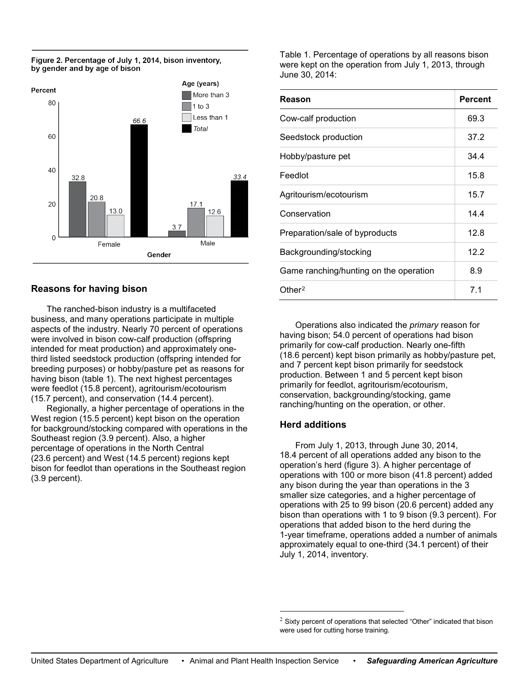

#### Figure 2. Percentage of July 1, 2014, bison inventory, by gender and by age of bison

# **Reasons for having bison**

The ranched-bison industry is a multifaceted business, and many operations participate in multiple aspects of the industry. Nearly 70 percent of operations were involved in bison cow-calf production (offspring intended for meat production) and approximately onethird listed seedstock production (offspring intended for breeding purposes) or hobby/pasture pet as reasons for having bison (table 1). The next highest percentages were feedlot (15.8 percent), agritourism/ecotourism (15.7 percent), and conservation (14.4 percent).

<span id="page-1-0"></span>Regionally, a higher percentage of operations in the West region (15.5 percent) kept bison on the operation for background/stocking compared with operations in the Southeast region (3.9 percent). Also, a higher percentage of operations in the North Central (23.6 percent) and West (14.5 percent) regions kept bison for feedlot than operations in the Southeast region (3.9 percent).

Table 1. Percentage of operations by all reasons bison were kept on the operation from July 1, 2013, through June 30, 2014:

| Reason                                 | <b>Percent</b> |
|----------------------------------------|----------------|
| Cow-calf production                    | 69.3           |
| Seedstock production                   | 37.2           |
| Hobby/pasture pet                      | 34.4           |
| Feedlot                                | 15.8           |
| Agritourism/ecotourism                 | 15.7           |
| Conservation                           | 14.4           |
| Preparation/sale of byproducts         | 12.8           |
| Backgrounding/stocking                 | 12.2           |
| Game ranching/hunting on the operation | 8.9            |
| Other <sup>2</sup>                     | 7.1            |

Operations also indicated the *primary* reason for having bison; 54.0 percent of operations had bison primarily for cow-calf production. Nearly one-fifth (18.6 percent) kept bison primarily as hobby/pasture pet, and 7 percent kept bison primarily for seedstock production. Between 1 and 5 percent kept bison primarily for feedlot, agritourism/ecotourism, conservation, backgrounding/stocking, game ranching/hunting on the operation, or other.

## **Herd additions**

From July 1, 2013, through June 30, 2014, 18.4 percent of all operations added any bison to the operation's herd (figure 3). A higher percentage of operations with 100 or more bison (41.8 percent) added any bison during the year than operations in the 3 smaller size categories, and a higher percentage of operations with 25 to 99 bison (20.6 percent) added any bison than operations with 1 to 9 bison (9.3 percent). For operations that added bison to the herd during the 1-year timeframe, operations added a number of animals approximately equal to one-third (34.1 percent) of their July 1, 2014, inventory.

 $2$  Sixty percent of operations that selected "Other" indicated that bison were used for cutting horse training.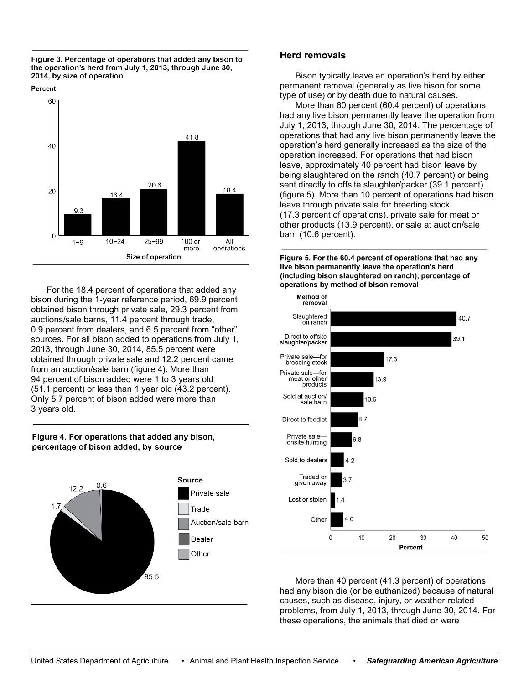

Percent



For the 18.4 percent of operations that added any bison during the 1-year reference period, 69.9 percent obtained bison through private sale, 29.3 percent from auctions/sale barns, 11.4 percent through trade, 0.9 percent from dealers, and 6.5 percent from "other" sources. For all bison added to operations from July 1, 2013, through June 30, 2014, 85.5 percent were obtained through private sale and 12.2 percent came from an auction/sale barn (figure 4). More than 94 percent of bison added were 1 to 3 years old (51.1 percent) or less than 1 year old (43.2 percent). Only 5.7 percent of bison added were more than 3 years old.

#### Figure 4. For operations that added any bison, percentage of bison added, by source



### **Herd removals**

Bison typically leave an operation's herd by either permanent removal (generally as live bison for some type of use) or by death due to natural causes.

More than 60 percent (60.4 percent) of operations had any live bison permanently leave the operation from July 1, 2013, through June 30, 2014. The percentage of operations that had any live bison permanently leave the operation's herd generally increased as the size of the operation increased. For operations that had bison leave, approximately 40 percent had bison leave by being slaughtered on the ranch (40.7 percent) or being sent directly to offsite slaughter/packer (39.1 percent) (figure 5). More than 10 percent of operations had bison leave through private sale for breeding stock (17.3 percent of operations), private sale for meat or other products (13.9 percent), or sale at auction/sale barn (10.6 percent).

Figure 5. For the 60.4 percent of operations that had any live bison permanently leave the operation's herd (including bison slaughtered on ranch), percentage of operations by method of bison removal



More than 40 percent (41.3 percent) of operations had any bison die (or be euthanized) because of natural causes, such as disease, injury, or weather-related problems, from July 1, 2013, through June 30, 2014. For these operations, the animals that died or were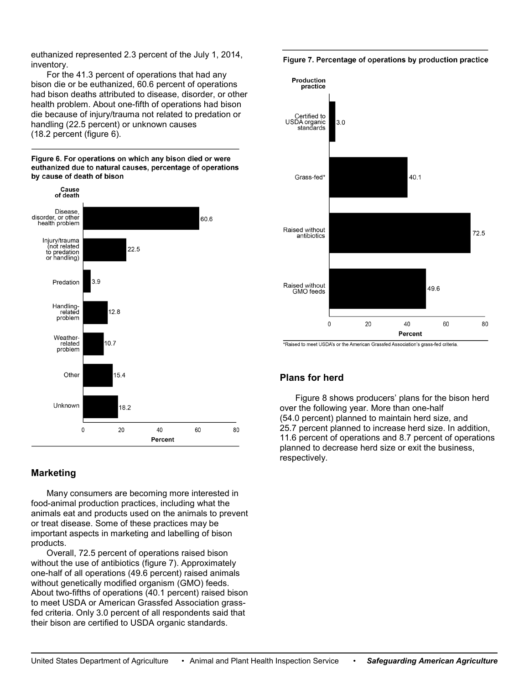euthanized represented 2.3 percent of the July 1, 2014, inventory.

For the 41.3 percent of operations that had any bison die or be euthanized, 60.6 percent of operations had bison deaths attributed to disease, disorder, or other health problem. About one-fifth of operations had bison die because of injury/trauma not related to predation or handling (22.5 percent) or unknown causes (18.2 percent (figure 6).

Figure 6. For operations on which any bison died or were euthanized due to natural causes, percentage of operations by cause of death of bison



## **Marketing**

Many consumers are becoming more interested in food-animal production practices, including what the animals eat and products used on the animals to prevent or treat disease. Some of these practices may be important aspects in marketing and labelling of bison products.

Overall, 72.5 percent of operations raised bison without the use of antibiotics (figure 7). Approximately one-half of all operations (49.6 percent) raised animals without genetically modified organism (GMO) feeds. About two-fifths of operations (40.1 percent) raised bison to meet USDA or American Grassfed Association grassfed criteria. Only 3.0 percent of all respondents said that their bison are certified to USDA organic standards.

Figure 7. Percentage of operations by production practice



\*Raised to meet USDA's or the American Grassfed Association's grass-fed criteria.

## **Plans for herd**

Figure 8 shows producers' plans for the bison herd over the following year. More than one-half (54.0 percent) planned to maintain herd size, and 25.7 percent planned to increase herd size. In addition, 11.6 percent of operations and 8.7 percent of operations planned to decrease herd size or exit the business, respectively.